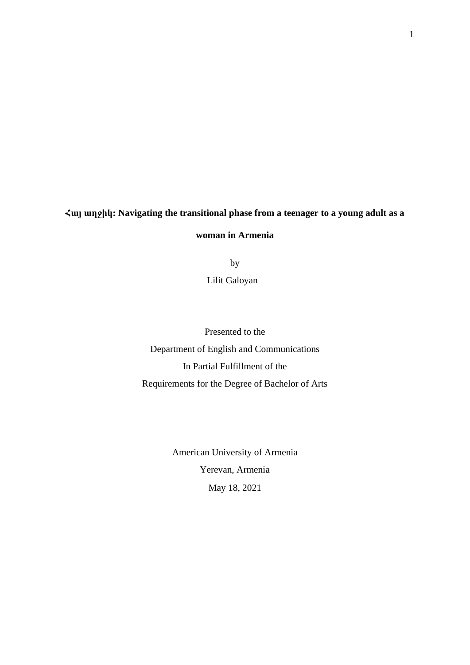# **Հայ աղջիկ: Navigating the transitional phase from a teenager to a young adult as a woman in Armenia**

by

Lilit Galoyan

Presented to the Department of English and Communications In Partial Fulfillment of the Requirements for the Degree of Bachelor of Arts

> American University of Armenia Yerevan, Armenia May 18, 2021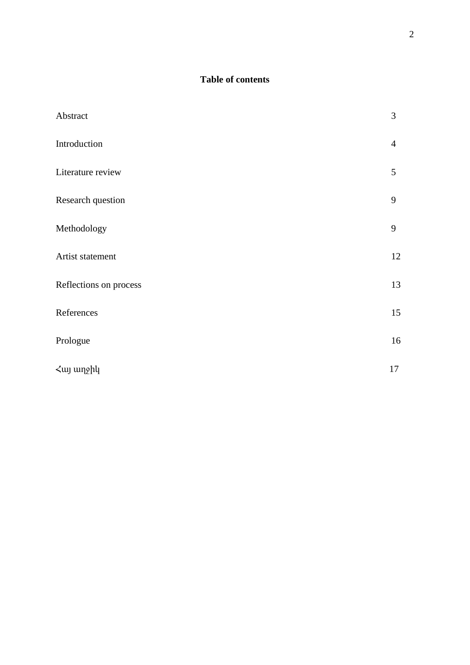# **Table of contents**

| Abstract               | 3              |
|------------------------|----------------|
| Introduction           | $\overline{4}$ |
| Literature review      | 5              |
| Research question      | 9              |
| Methodology            | 9              |
| Artist statement       | 12             |
| Reflections on process | 13             |
| References             | 15             |
| Prologue               | 16             |
| <λuj wnghy             | 17             |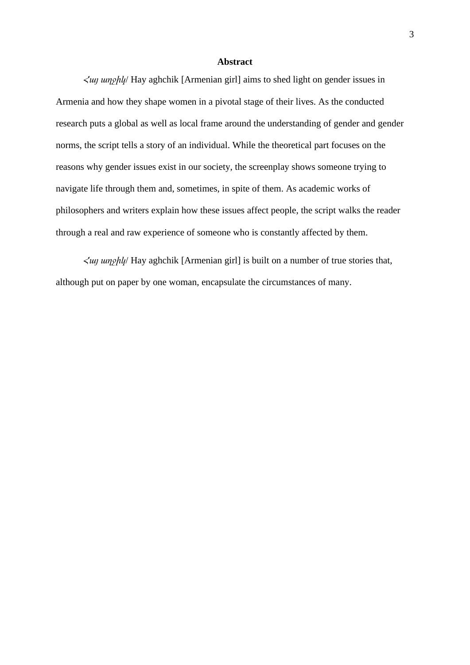# **Abstract**

*Հայ աղջիկ*/ Hay aghchik [Armenian girl] aims to shed light on gender issues in Armenia and how they shape women in a pivotal stage of their lives. As the conducted research puts a global as well as local frame around the understanding of gender and gender norms, the script tells a story of an individual. While the theoretical part focuses on the reasons why gender issues exist in our society, the screenplay shows someone trying to navigate life through them and, sometimes, in spite of them. As academic works of philosophers and writers explain how these issues affect people, the script walks the reader through a real and raw experience of someone who is constantly affected by them.

*Հայ աղջիկ*/ Hay aghchik [Armenian girl] is built on a number of true stories that, although put on paper by one woman, encapsulate the circumstances of many.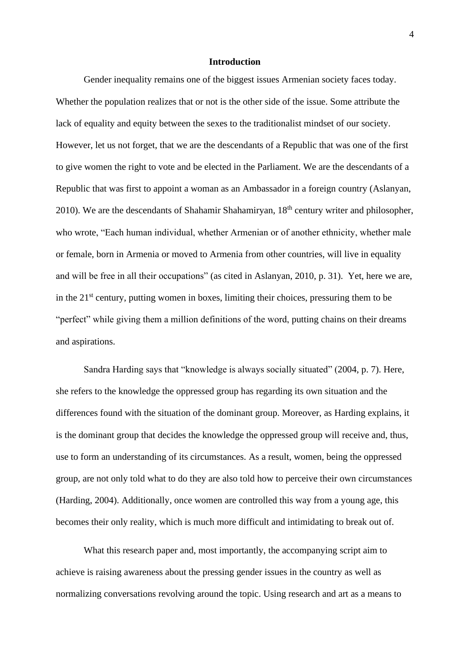### **Introduction**

Gender inequality remains one of the biggest issues Armenian society faces today. Whether the population realizes that or not is the other side of the issue. Some attribute the lack of equality and equity between the sexes to the traditionalist mindset of our society. However, let us not forget, that we are the descendants of a Republic that was one of the first to give women the right to vote and be elected in the Parliament. We are the descendants of a Republic that was first to appoint a woman as an Ambassador in a foreign country (Aslanyan, 2010). We are the descendants of Shahamir Shahamiryan,  $18<sup>th</sup>$  century writer and philosopher, who wrote, "Each human individual, whether Armenian or of another ethnicity, whether male or female, born in Armenia or moved to Armenia from other countries, will live in equality and will be free in all their occupations" (as cited in Aslanyan, 2010, p. 31). Yet, here we are, in the  $21<sup>st</sup>$  century, putting women in boxes, limiting their choices, pressuring them to be "perfect" while giving them a million definitions of the word, putting chains on their dreams and aspirations.

Sandra Harding says that "knowledge is always socially situated" (2004, p. 7). Here, she refers to the knowledge the oppressed group has regarding its own situation and the differences found with the situation of the dominant group. Moreover, as Harding explains, it is the dominant group that decides the knowledge the oppressed group will receive and, thus, use to form an understanding of its circumstances. As a result, women, being the oppressed group, are not only told what to do they are also told how to perceive their own circumstances (Harding, 2004). Additionally, once women are controlled this way from a young age, this becomes their only reality, which is much more difficult and intimidating to break out of.

What this research paper and, most importantly, the accompanying script aim to achieve is raising awareness about the pressing gender issues in the country as well as normalizing conversations revolving around the topic. Using research and art as a means to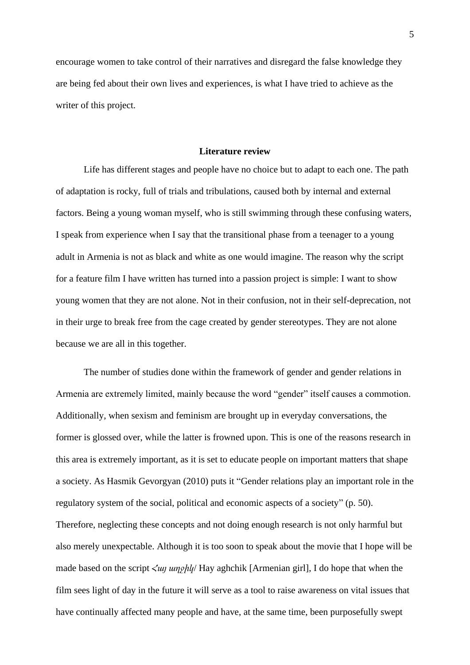encourage women to take control of their narratives and disregard the false knowledge they are being fed about their own lives and experiences, is what I have tried to achieve as the writer of this project.

#### **Literature review**

Life has different stages and people have no choice but to adapt to each one. The path of adaptation is rocky, full of trials and tribulations, caused both by internal and external factors. Being a young woman myself, who is still swimming through these confusing waters, I speak from experience when I say that the transitional phase from a teenager to a young adult in Armenia is not as black and white as one would imagine. The reason why the script for a feature film I have written has turned into a passion project is simple: I want to show young women that they are not alone. Not in their confusion, not in their self-deprecation, not in their urge to break free from the cage created by gender stereotypes. They are not alone because we are all in this together.

The number of studies done within the framework of gender and gender relations in Armenia are extremely limited, mainly because the word "gender" itself causes a commotion. Additionally, when sexism and feminism are brought up in everyday conversations, the former is glossed over, while the latter is frowned upon. This is one of the reasons research in this area is extremely important, as it is set to educate people on important matters that shape a society. As Hasmik Gevorgyan (2010) puts it "Gender relations play an important role in the regulatory system of the social, political and economic aspects of a society" (p. 50). Therefore, neglecting these concepts and not doing enough research is not only harmful but also merely unexpectable. Although it is too soon to speak about the movie that I hope will be made based on the script *Հայ աղջիկ*/ Hay aghchik [Armenian girl], I do hope that when the film sees light of day in the future it will serve as a tool to raise awareness on vital issues that have continually affected many people and have, at the same time, been purposefully swept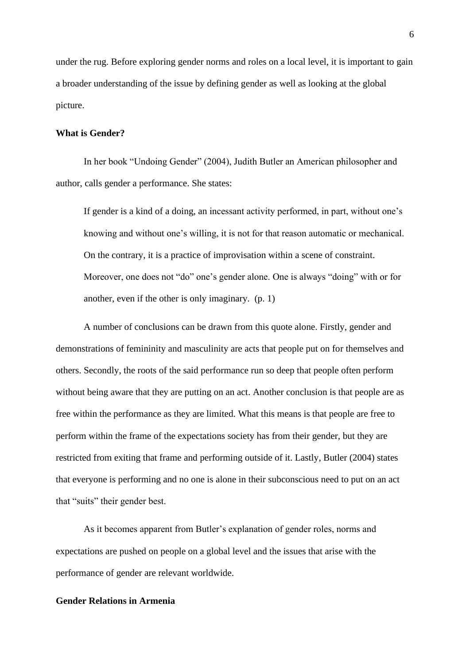under the rug. Before exploring gender norms and roles on a local level, it is important to gain a broader understanding of the issue by defining gender as well as looking at the global picture.

# **What is Gender?**

In her book "Undoing Gender" (2004), Judith Butler an American philosopher and author, calls gender a performance. She states:

If gender is a kind of a doing, an incessant activity performed, in part, without one's knowing and without one's willing, it is not for that reason automatic or mechanical. On the contrary, it is a practice of improvisation within a scene of constraint. Moreover, one does not "do" one's gender alone. One is always "doing" with or for another, even if the other is only imaginary. (p. 1)

A number of conclusions can be drawn from this quote alone. Firstly, gender and demonstrations of femininity and masculinity are acts that people put on for themselves and others. Secondly, the roots of the said performance run so deep that people often perform without being aware that they are putting on an act. Another conclusion is that people are as free within the performance as they are limited. What this means is that people are free to perform within the frame of the expectations society has from their gender, but they are restricted from exiting that frame and performing outside of it. Lastly, Butler (2004) states that everyone is performing and no one is alone in their subconscious need to put on an act that "suits" their gender best.

As it becomes apparent from Butler's explanation of gender roles, norms and expectations are pushed on people on a global level and the issues that arise with the performance of gender are relevant worldwide.

# **Gender Relations in Armenia**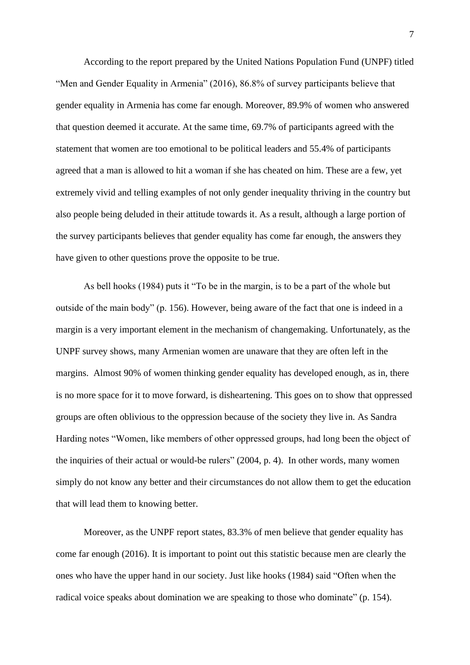According to the report prepared by the United Nations Population Fund (UNPF) titled "Men and Gender Equality in Armenia" (2016), 86.8% of survey participants believe that gender equality in Armenia has come far enough. Moreover, 89.9% of women who answered that question deemed it accurate. At the same time, 69.7% of participants agreed with the statement that women are too emotional to be political leaders and 55.4% of participants agreed that a man is allowed to hit a woman if she has cheated on him. These are a few, yet extremely vivid and telling examples of not only gender inequality thriving in the country but also people being deluded in their attitude towards it. As a result, although a large portion of the survey participants believes that gender equality has come far enough, the answers they have given to other questions prove the opposite to be true.

As bell hooks (1984) puts it "To be in the margin, is to be a part of the whole but outside of the main body" (p. 156). However, being aware of the fact that one is indeed in a margin is a very important element in the mechanism of changemaking. Unfortunately, as the UNPF survey shows, many Armenian women are unaware that they are often left in the margins. Almost 90% of women thinking gender equality has developed enough, as in, there is no more space for it to move forward, is disheartening. This goes on to show that oppressed groups are often oblivious to the oppression because of the society they live in. As Sandra Harding notes "Women, like members of other oppressed groups, had long been the object of the inquiries of their actual or would-be rulers" (2004, p. 4). In other words, many women simply do not know any better and their circumstances do not allow them to get the education that will lead them to knowing better.

Moreover, as the UNPF report states, 83.3% of men believe that gender equality has come far enough (2016). It is important to point out this statistic because men are clearly the ones who have the upper hand in our society. Just like hooks (1984) said "Often when the radical voice speaks about domination we are speaking to those who dominate" (p. 154).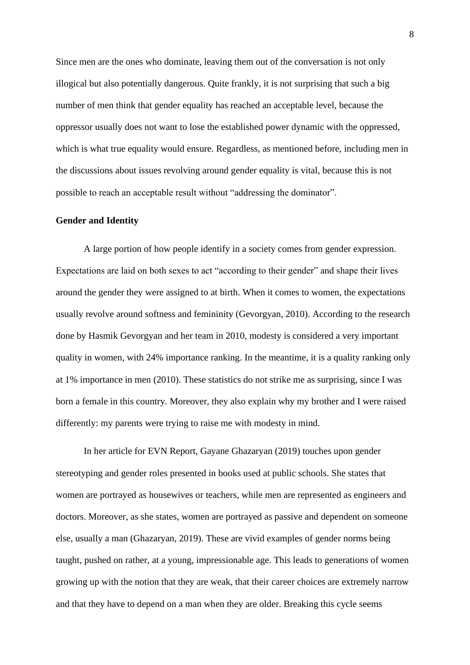Since men are the ones who dominate, leaving them out of the conversation is not only illogical but also potentially dangerous. Quite frankly, it is not surprising that such a big number of men think that gender equality has reached an acceptable level, because the oppressor usually does not want to lose the established power dynamic with the oppressed, which is what true equality would ensure. Regardless, as mentioned before, including men in the discussions about issues revolving around gender equality is vital, because this is not possible to reach an acceptable result without "addressing the dominator".

# **Gender and Identity**

A large portion of how people identify in a society comes from gender expression. Expectations are laid on both sexes to act "according to their gender" and shape their lives around the gender they were assigned to at birth. When it comes to women, the expectations usually revolve around softness and femininity (Gevorgyan, 2010). According to the research done by Hasmik Gevorgyan and her team in 2010, modesty is considered a very important quality in women, with 24% importance ranking. In the meantime, it is a quality ranking only at 1% importance in men (2010). These statistics do not strike me as surprising, since I was born a female in this country. Moreover, they also explain why my brother and I were raised differently: my parents were trying to raise me with modesty in mind.

In her article for EVN Report, Gayane Ghazaryan (2019) touches upon gender stereotyping and gender roles presented in books used at public schools. She states that women are portrayed as housewives or teachers, while men are represented as engineers and doctors. Moreover, as she states, women are portrayed as passive and dependent on someone else, usually a man (Ghazaryan, 2019). These are vivid examples of gender norms being taught, pushed on rather, at a young, impressionable age. This leads to generations of women growing up with the notion that they are weak, that their career choices are extremely narrow and that they have to depend on a man when they are older. Breaking this cycle seems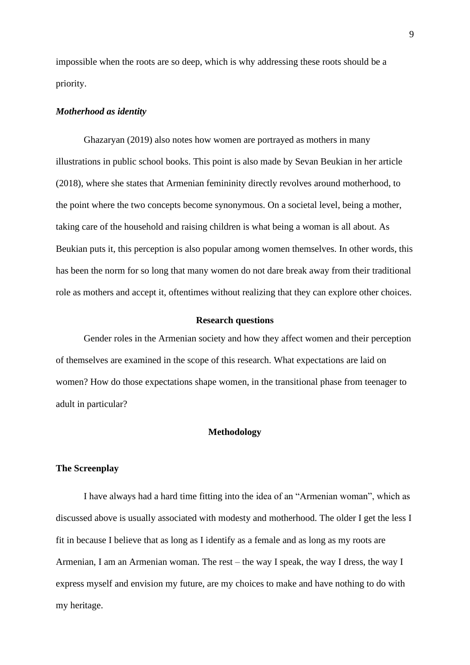impossible when the roots are so deep, which is why addressing these roots should be a priority.

#### *Motherhood as identity*

Ghazaryan (2019) also notes how women are portrayed as mothers in many illustrations in public school books. This point is also made by Sevan Beukian in her article (2018), where she states that Armenian femininity directly revolves around motherhood, to the point where the two concepts become synonymous. On a societal level, being a mother, taking care of the household and raising children is what being a woman is all about. As Beukian puts it, this perception is also popular among women themselves. In other words, this has been the norm for so long that many women do not dare break away from their traditional role as mothers and accept it, oftentimes without realizing that they can explore other choices.

### **Research questions**

Gender roles in the Armenian society and how they affect women and their perception of themselves are examined in the scope of this research. What expectations are laid on women? How do those expectations shape women, in the transitional phase from teenager to adult in particular?

# **Methodology**

#### **The Screenplay**

I have always had a hard time fitting into the idea of an "Armenian woman", which as discussed above is usually associated with modesty and motherhood. The older I get the less I fit in because I believe that as long as I identify as a female and as long as my roots are Armenian, I am an Armenian woman. The rest – the way I speak, the way I dress, the way I express myself and envision my future, are my choices to make and have nothing to do with my heritage.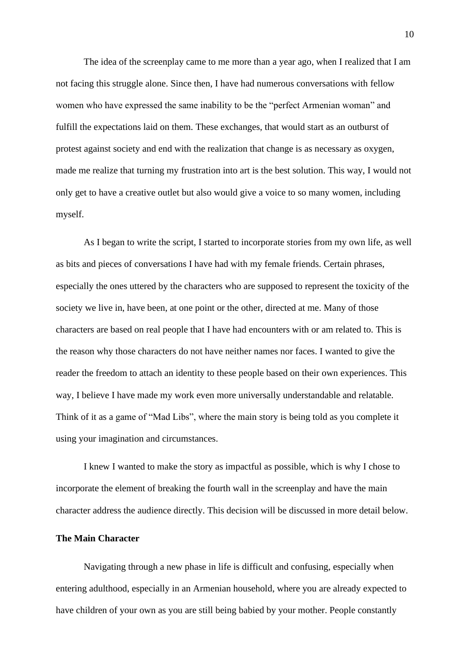The idea of the screenplay came to me more than a year ago, when I realized that I am not facing this struggle alone. Since then, I have had numerous conversations with fellow women who have expressed the same inability to be the "perfect Armenian woman" and fulfill the expectations laid on them. These exchanges, that would start as an outburst of protest against society and end with the realization that change is as necessary as oxygen, made me realize that turning my frustration into art is the best solution. This way, I would not only get to have a creative outlet but also would give a voice to so many women, including myself.

As I began to write the script, I started to incorporate stories from my own life, as well as bits and pieces of conversations I have had with my female friends. Certain phrases, especially the ones uttered by the characters who are supposed to represent the toxicity of the society we live in, have been, at one point or the other, directed at me. Many of those characters are based on real people that I have had encounters with or am related to. This is the reason why those characters do not have neither names nor faces. I wanted to give the reader the freedom to attach an identity to these people based on their own experiences. This way, I believe I have made my work even more universally understandable and relatable. Think of it as a game of "Mad Libs", where the main story is being told as you complete it using your imagination and circumstances.

I knew I wanted to make the story as impactful as possible, which is why I chose to incorporate the element of breaking the fourth wall in the screenplay and have the main character address the audience directly. This decision will be discussed in more detail below.

### **The Main Character**

Navigating through a new phase in life is difficult and confusing, especially when entering adulthood, especially in an Armenian household, where you are already expected to have children of your own as you are still being babied by your mother. People constantly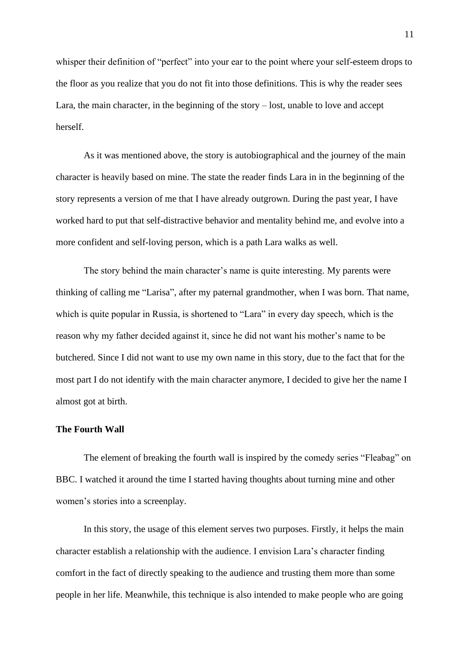whisper their definition of "perfect" into your ear to the point where your self-esteem drops to the floor as you realize that you do not fit into those definitions. This is why the reader sees Lara, the main character, in the beginning of the story – lost, unable to love and accept herself.

As it was mentioned above, the story is autobiographical and the journey of the main character is heavily based on mine. The state the reader finds Lara in in the beginning of the story represents a version of me that I have already outgrown. During the past year, I have worked hard to put that self-distractive behavior and mentality behind me, and evolve into a more confident and self-loving person, which is a path Lara walks as well.

The story behind the main character's name is quite interesting. My parents were thinking of calling me "Larisa", after my paternal grandmother, when I was born. That name, which is quite popular in Russia, is shortened to "Lara" in every day speech, which is the reason why my father decided against it, since he did not want his mother's name to be butchered. Since I did not want to use my own name in this story, due to the fact that for the most part I do not identify with the main character anymore, I decided to give her the name I almost got at birth.

## **The Fourth Wall**

The element of breaking the fourth wall is inspired by the comedy series "Fleabag" on BBC. I watched it around the time I started having thoughts about turning mine and other women's stories into a screenplay.

In this story, the usage of this element serves two purposes. Firstly, it helps the main character establish a relationship with the audience. I envision Lara's character finding comfort in the fact of directly speaking to the audience and trusting them more than some people in her life. Meanwhile, this technique is also intended to make people who are going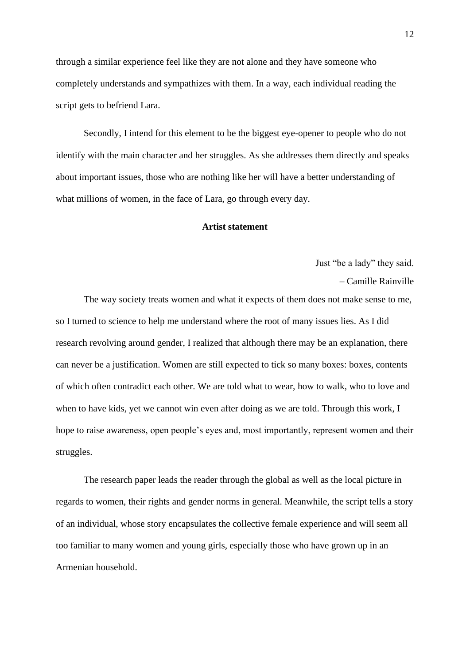through a similar experience feel like they are not alone and they have someone who completely understands and sympathizes with them. In a way, each individual reading the script gets to befriend Lara.

Secondly, I intend for this element to be the biggest eye-opener to people who do not identify with the main character and her struggles. As she addresses them directly and speaks about important issues, those who are nothing like her will have a better understanding of what millions of women, in the face of Lara, go through every day.

#### **Artist statement**

Just "be a lady" they said. – Camille Rainville

The way society treats women and what it expects of them does not make sense to me, so I turned to science to help me understand where the root of many issues lies. As I did research revolving around gender, I realized that although there may be an explanation, there can never be a justification. Women are still expected to tick so many boxes: boxes, contents of which often contradict each other. We are told what to wear, how to walk, who to love and when to have kids, yet we cannot win even after doing as we are told. Through this work, I hope to raise awareness, open people's eyes and, most importantly, represent women and their struggles.

The research paper leads the reader through the global as well as the local picture in regards to women, their rights and gender norms in general. Meanwhile, the script tells a story of an individual, whose story encapsulates the collective female experience and will seem all too familiar to many women and young girls, especially those who have grown up in an Armenian household.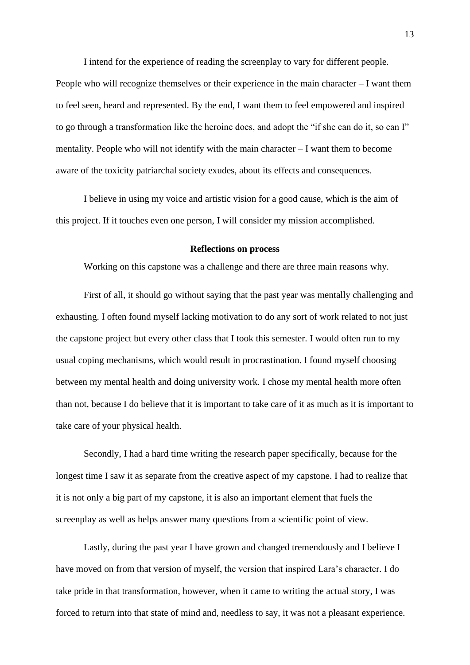I intend for the experience of reading the screenplay to vary for different people. People who will recognize themselves or their experience in the main character – I want them to feel seen, heard and represented. By the end, I want them to feel empowered and inspired to go through a transformation like the heroine does, and adopt the "if she can do it, so can I" mentality. People who will not identify with the main character – I want them to become aware of the toxicity patriarchal society exudes, about its effects and consequences.

I believe in using my voice and artistic vision for a good cause, which is the aim of this project. If it touches even one person, I will consider my mission accomplished.

#### **Reflections on process**

Working on this capstone was a challenge and there are three main reasons why.

First of all, it should go without saying that the past year was mentally challenging and exhausting. I often found myself lacking motivation to do any sort of work related to not just the capstone project but every other class that I took this semester. I would often run to my usual coping mechanisms, which would result in procrastination. I found myself choosing between my mental health and doing university work. I chose my mental health more often than not, because I do believe that it is important to take care of it as much as it is important to take care of your physical health.

Secondly, I had a hard time writing the research paper specifically, because for the longest time I saw it as separate from the creative aspect of my capstone. I had to realize that it is not only a big part of my capstone, it is also an important element that fuels the screenplay as well as helps answer many questions from a scientific point of view.

Lastly, during the past year I have grown and changed tremendously and I believe I have moved on from that version of myself, the version that inspired Lara's character. I do take pride in that transformation, however, when it came to writing the actual story, I was forced to return into that state of mind and, needless to say, it was not a pleasant experience.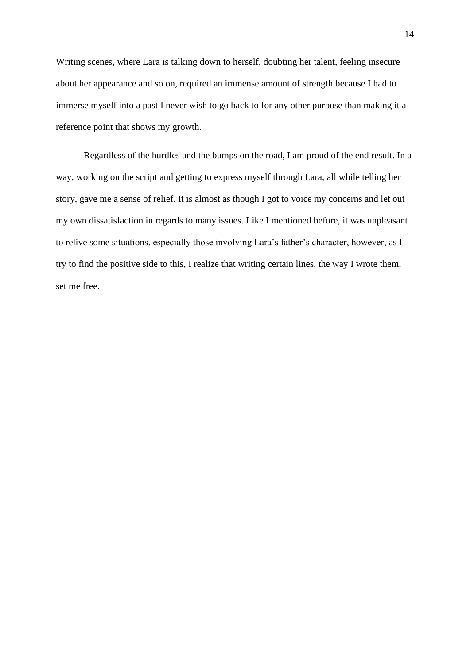Writing scenes, where Lara is talking down to herself, doubting her talent, feeling insecure about her appearance and so on, required an immense amount of strength because I had to immerse myself into a past I never wish to go back to for any other purpose than making it a reference point that shows my growth.

Regardless of the hurdles and the bumps on the road, I am proud of the end result. In a way, working on the script and getting to express myself through Lara, all while telling her story, gave me a sense of relief. It is almost as though I got to voice my concerns and let out my own dissatisfaction in regards to many issues. Like I mentioned before, it was unpleasant to relive some situations, especially those involving Lara's father's character, however, as I try to find the positive side to this, I realize that writing certain lines, the way I wrote them, set me free.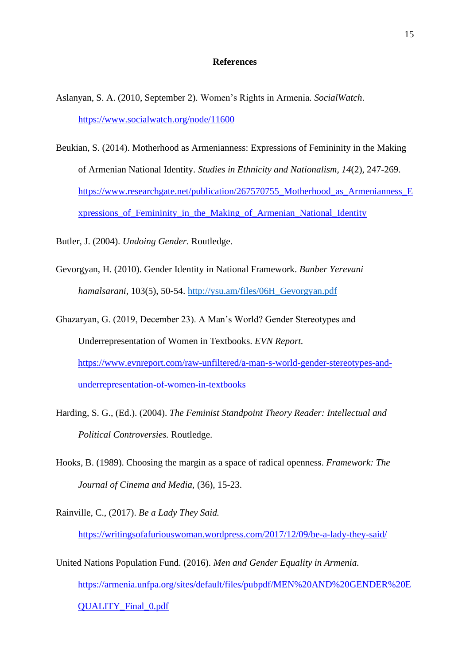#### **References**

- Aslanyan, S. A. (2010, September 2). Women's Rights in Armenia*. SocialWatch*. <https://www.socialwatch.org/node/11600>
- Beukian, S. (2014). Motherhood as Armenianness: Expressions of Femininity in the Making of Armenian National Identity. *Studies in Ethnicity and Nationalism, 14*(2), 247-269. [https://www.researchgate.net/publication/267570755\\_Motherhood\\_as\\_Armenianness\\_E](https://www.researchgate.net/publication/267570755_Motherhood_as_Armenianness_%09Expressions_of_Femininity_in_the_Making_of_Armenian_National_Identity) [xpressions\\_of\\_Femininity\\_in\\_the\\_Making\\_of\\_Armenian\\_National\\_Identity](https://www.researchgate.net/publication/267570755_Motherhood_as_Armenianness_%09Expressions_of_Femininity_in_the_Making_of_Armenian_National_Identity)

Butler, J. (2004). *Undoing Gender.* Routledge.

- Gevorgyan, H. (2010). Gender Identity in National Framework. *Banber Yerevani hamalsarani,* 103(5), 50-54. [http://ysu.am/files/06H\\_Gevorgyan.pdf](http://ysu.am/files/06H_Gevorgyan.pdf)
- Ghazaryan, G. (2019, December 23). A Man's World? Gender Stereotypes and Underrepresentation of Women in Textbooks. *EVN Report.* [https://www.evnreport.com/raw-unfiltered/a-man-s-world-gender-stereotypes-and](https://www.evnreport.com/raw-unfiltered/a-man-s-world-gender-stereotypes-and-underrepresentation-of-women-in-textbooks)[underrepresentation-of-women-in-textbooks](https://www.evnreport.com/raw-unfiltered/a-man-s-world-gender-stereotypes-and-underrepresentation-of-women-in-textbooks)
- Harding, S. G., (Ed.). (2004). *The Feminist Standpoint Theory Reader: Intellectual and Political Controversies.* Routledge.
- Hooks, B. (1989). Choosing the margin as a space of radical openness. *Framework: The Journal of Cinema and Media,* (36), 15-23.
- Rainville, C., (2017). *Be a Lady They Said.*  <https://writingsofafuriouswoman.wordpress.com/2017/12/09/be-a-lady-they-said/>
- United Nations Population Fund. (2016). *Men and Gender Equality in Armenia.* [https://armenia.unfpa.org/sites/default/files/pubpdf/MEN%20AND%20GENDER%20E](https://armenia.unfpa.org/sites/default/files/pub-%09pdf/MEN%20AND%20GENDER%20EQUALITY_Final_0.pdf) [QUALITY\\_Final\\_0.pdf](https://armenia.unfpa.org/sites/default/files/pub-%09pdf/MEN%20AND%20GENDER%20EQUALITY_Final_0.pdf)